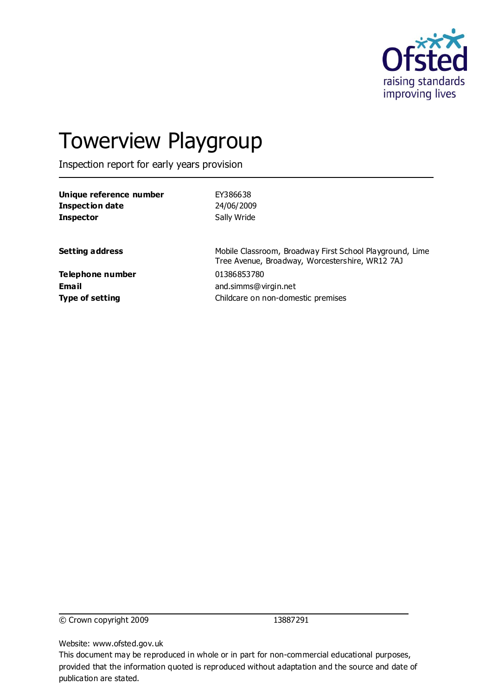

# Towerview Playgroup

Inspection report for early years provision

| EY386638                                                                                                    |
|-------------------------------------------------------------------------------------------------------------|
| 24/06/2009                                                                                                  |
| Sally Wride                                                                                                 |
| Mobile Classroom, Broadway First School Playground, Lime<br>Tree Avenue, Broadway, Worcestershire, WR12 7AJ |
| 01386853780                                                                                                 |
| and.simms@virgin.net                                                                                        |
| Childcare on non-domestic premises                                                                          |
|                                                                                                             |

© Crown copyright 2009 13887291

Website: www.ofsted.gov.uk

This document may be reproduced in whole or in part for non-commercial educational purposes, provided that the information quoted is reproduced without adaptation and the source and date of publication are stated.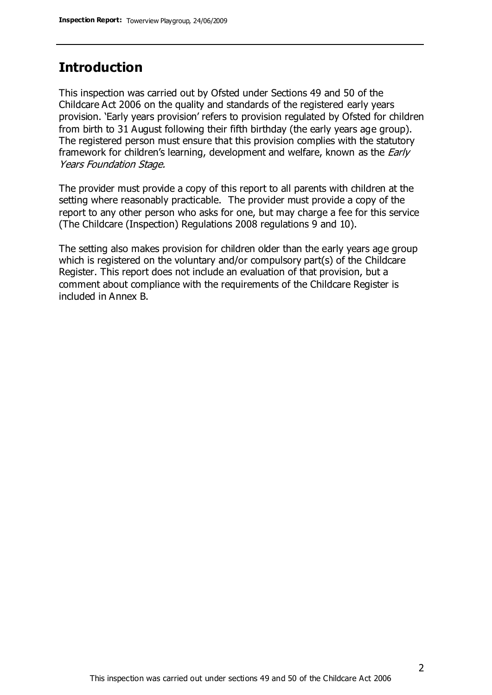#### **Introduction**

This inspection was carried out by Ofsted under Sections 49 and 50 of the Childcare Act 2006 on the quality and standards of the registered early years provision. 'Early years provision' refers to provision regulated by Ofsted for children from birth to 31 August following their fifth birthday (the early years age group). The registered person must ensure that this provision complies with the statutory framework for children's learning, development and welfare, known as the *Early* Years Foundation Stage.

The provider must provide a copy of this report to all parents with children at the setting where reasonably practicable. The provider must provide a copy of the report to any other person who asks for one, but may charge a fee for this service (The Childcare (Inspection) Regulations 2008 regulations 9 and 10).

The setting also makes provision for children older than the early years age group which is registered on the voluntary and/or compulsory part(s) of the Childcare Register. This report does not include an evaluation of that provision, but a comment about compliance with the requirements of the Childcare Register is included in Annex B.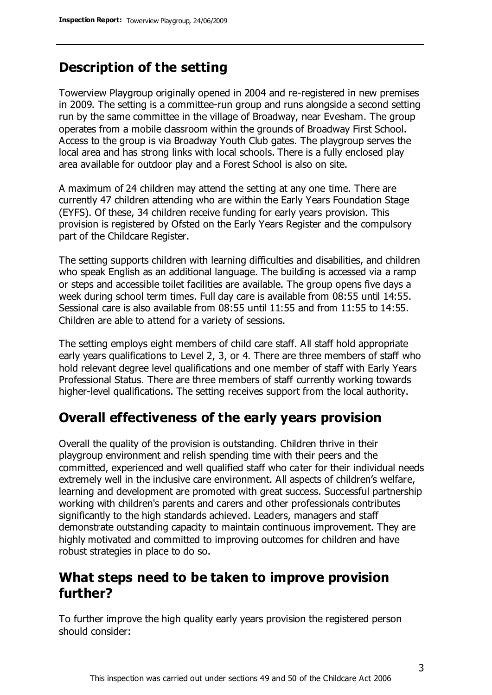### **Description of the setting**

Towerview Playgroup originally opened in 2004 and re-registered in new premises in 2009. The setting is a committee-run group and runs alongside a second setting run by the same committee in the village of Broadway, near Evesham. The group operates from a mobile classroom within the grounds of Broadway First School. Access to the group is via Broadway Youth Club gates. The playgroup serves the local area and has strong links with local schools. There is a fully enclosed play area available for outdoor play and a Forest School is also on site.

A maximum of 24 children may attend the setting at any one time. There are currently 47 children attending who are within the Early Years Foundation Stage (EYFS). Of these, 34 children receive funding for early years provision. This provision is registered by Ofsted on the Early Years Register and the compulsory part of the Childcare Register.

The setting supports children with learning difficulties and disabilities, and children who speak English as an additional language. The building is accessed via a ramp or steps and accessible toilet facilities are available. The group opens five days a week during school term times. Full day care is available from 08:55 until 14:55. Sessional care is also available from 08:55 until 11:55 and from 11:55 to 14:55. Children are able to attend for a variety of sessions.

The setting employs eight members of child care staff. All staff hold appropriate early years qualifications to Level 2, 3, or 4. There are three members of staff who hold relevant degree level qualifications and one member of staff with Early Years Professional Status. There are three members of staff currently working towards higher-level qualifications. The setting receives support from the local authority.

### **Overall effectiveness of the early years provision**

Overall the quality of the provision is outstanding. Children thrive in their playgroup environment and relish spending time with their peers and the committed, experienced and well qualified staff who cater for their individual needs extremely well in the inclusive care environment. All aspects of children's welfare, learning and development are promoted with great success. Successful partnership working with children's parents and carers and other professionals contributes significantly to the high standards achieved. Leaders, managers and staff demonstrate outstanding capacity to maintain continuous improvement. They are highly motivated and committed to improving outcomes for children and have robust strategies in place to do so.

#### **What steps need to be taken to improve provision further?**

To further improve the high quality early years provision the registered person should consider: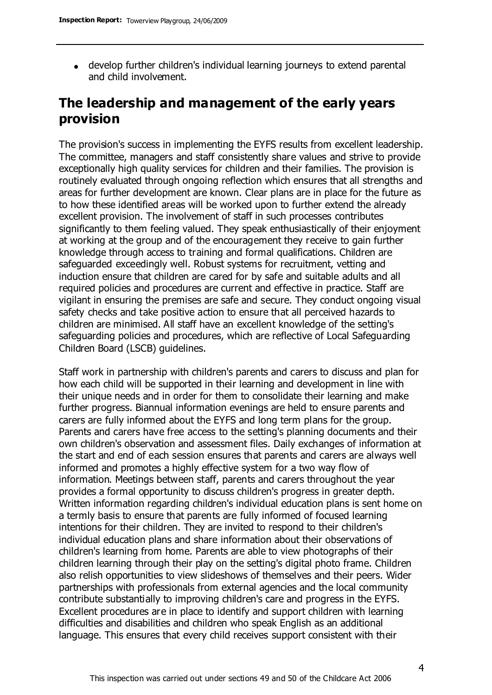develop further children's individual learning journeys to extend parental and child involvement.

### **The leadership and management of the early years provision**

The provision's success in implementing the EYFS results from excellent leadership. The committee, managers and staff consistently share values and strive to provide exceptionally high quality services for children and their families. The provision is routinely evaluated through ongoing reflection which ensures that all strengths and areas for further development are known. Clear plans are in place for the future as to how these identified areas will be worked upon to further extend the already excellent provision. The involvement of staff in such processes contributes significantly to them feeling valued. They speak enthusiastically of their enjoyment at working at the group and of the encouragement they receive to gain further knowledge through access to training and formal qualifications. Children are safeguarded exceedingly well. Robust systems for recruitment, vetting and induction ensure that children are cared for by safe and suitable adults and all required policies and procedures are current and effective in practice. Staff are vigilant in ensuring the premises are safe and secure. They conduct ongoing visual safety checks and take positive action to ensure that all perceived hazards to children are minimised. All staff have an excellent knowledge of the setting's safeguarding policies and procedures, which are reflective of Local Safeguarding Children Board (LSCB) guidelines.

Staff work in partnership with children's parents and carers to discuss and plan for how each child will be supported in their learning and development in line with their unique needs and in order for them to consolidate their learning and make further progress. Biannual information evenings are held to ensure parents and carers are fully informed about the EYFS and long term plans for the group. Parents and carers have free access to the setting's planning documents and their own children's observation and assessment files. Daily exchanges of information at the start and end of each session ensures that parents and carers are always well informed and promotes a highly effective system for a two way flow of information. Meetings between staff, parents and carers throughout the year provides a formal opportunity to discuss children's progress in greater depth. Written information regarding children's individual education plans is sent home on a termly basis to ensure that parents are fully informed of focused learning intentions for their children. They are invited to respond to their children's individual education plans and share information about their observations of children's learning from home. Parents are able to view photographs of their children learning through their play on the setting's digital photo frame. Children also relish opportunities to view slideshows of themselves and their peers. Wider partnerships with professionals from external agencies and the local community contribute substantially to improving children's care and progress in the EYFS. Excellent procedures are in place to identify and support children with learning difficulties and disabilities and children who speak English as an additional language. This ensures that every child receives support consistent with their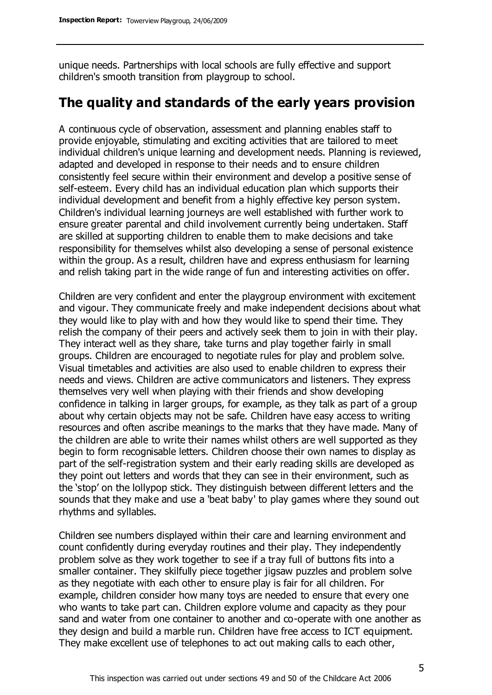unique needs. Partnerships with local schools are fully effective and support children's smooth transition from playgroup to school.

### **The quality and standards of the early years provision**

A continuous cycle of observation, assessment and planning enables staff to provide enjoyable, stimulating and exciting activities that are tailored to meet individual children's unique learning and development needs. Planning is reviewed, adapted and developed in response to their needs and to ensure children consistently feel secure within their environment and develop a positive sense of self-esteem. Every child has an individual education plan which supports their individual development and benefit from a highly effective key person system. Children's individual learning journeys are well established with further work to ensure greater parental and child involvement currently being undertaken. Staff are skilled at supporting children to enable them to make decisions and take responsibility for themselves whilst also developing a sense of personal existence within the group. As a result, children have and express enthusiasm for learning and relish taking part in the wide range of fun and interesting activities on offer.

Children are very confident and enter the playgroup environment with excitement and vigour. They communicate freely and make independent decisions about what they would like to play with and how they would like to spend their time. They relish the company of their peers and actively seek them to join in with their play. They interact well as they share, take turns and play together fairly in small groups. Children are encouraged to negotiate rules for play and problem solve. Visual timetables and activities are also used to enable children to express their needs and views. Children are active communicators and listeners. They express themselves very well when playing with their friends and show developing confidence in talking in larger groups, for example, as they talk as part of a group about why certain objects may not be safe. Children have easy access to writing resources and often ascribe meanings to the marks that they have made. Many of the children are able to write their names whilst others are well supported as they begin to form recognisable letters. Children choose their own names to display as part of the self-registration system and their early reading skills are developed as they point out letters and words that they can see in their environment, such as the 'stop' on the lollypop stick. They distinguish between different letters and the sounds that they make and use a 'beat baby' to play games where they sound out rhythms and syllables.

Children see numbers displayed within their care and learning environment and count confidently during everyday routines and their play. They independently problem solve as they work together to see if a tray full of buttons fits into a smaller container. They skilfully piece together jigsaw puzzles and problem solve as they negotiate with each other to ensure play is fair for all children. For example, children consider how many toys are needed to ensure that every one who wants to take part can. Children explore volume and capacity as they pour sand and water from one container to another and co-operate with one another as they design and build a marble run. Children have free access to ICT equipment. They make excellent use of telephones to act out making calls to each other,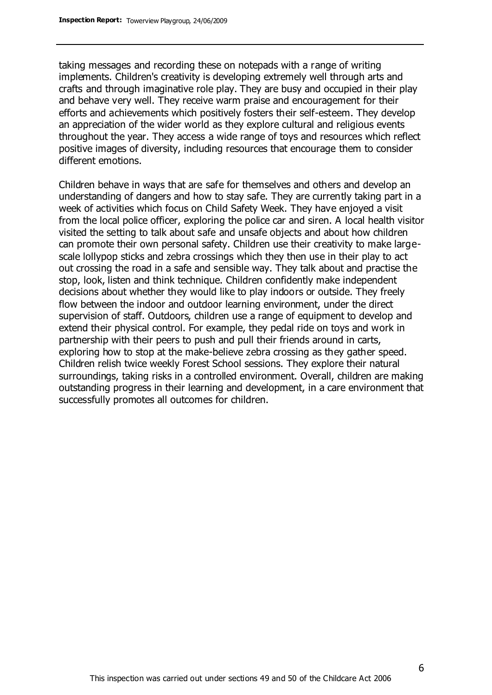taking messages and recording these on notepads with a range of writing implements. Children's creativity is developing extremely well through arts and crafts and through imaginative role play. They are busy and occupied in their play and behave very well. They receive warm praise and encouragement for their efforts and achievements which positively fosters their self-esteem. They develop an appreciation of the wider world as they explore cultural and religious events throughout the year. They access a wide range of toys and resources which reflect positive images of diversity, including resources that encourage them to consider different emotions.

Children behave in ways that are safe for themselves and others and develop an understanding of dangers and how to stay safe. They are currently taking part in a week of activities which focus on Child Safety Week. They have enjoyed a visit from the local police officer, exploring the police car and siren. A local health visitor visited the setting to talk about safe and unsafe objects and about how children can promote their own personal safety. Children use their creativity to make largescale lollypop sticks and zebra crossings which they then use in their play to act out crossing the road in a safe and sensible way. They talk about and practise the stop, look, listen and think technique. Children confidently make independent decisions about whether they would like to play indoors or outside. They freely flow between the indoor and outdoor learning environment, under the direct supervision of staff. Outdoors, children use a range of equipment to develop and extend their physical control. For example, they pedal ride on toys and work in partnership with their peers to push and pull their friends around in carts, exploring how to stop at the make-believe zebra crossing as they gather speed. Children relish twice weekly Forest School sessions. They explore their natural surroundings, taking risks in a controlled environment. Overall, children are making outstanding progress in their learning and development, in a care environment that successfully promotes all outcomes for children.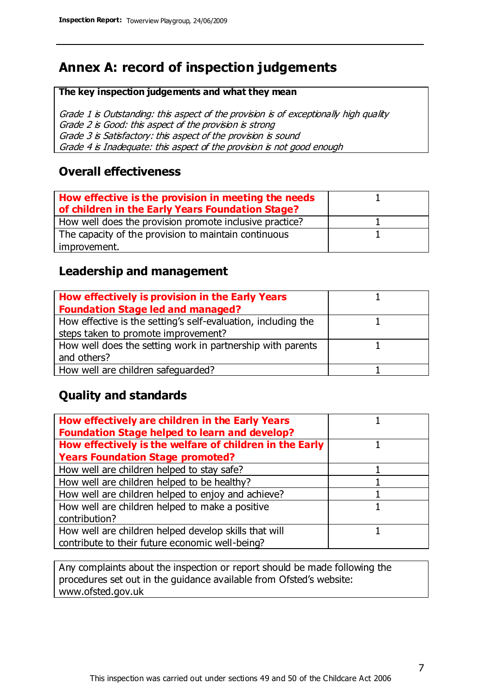## **Annex A: record of inspection judgements**

#### **The key inspection judgements and what they mean**

Grade 1 is Outstanding: this aspect of the provision is of exceptionally high quality Grade 2 is Good: this aspect of the provision is strong Grade 3 is Satisfactory: this aspect of the provision is sound Grade 4 is Inadequate: this aspect of the provision is not good enough

#### **Overall effectiveness**

| How effective is the provision in meeting the needs<br>of children in the Early Years Foundation Stage? |  |
|---------------------------------------------------------------------------------------------------------|--|
| How well does the provision promote inclusive practice?                                                 |  |
| The capacity of the provision to maintain continuous                                                    |  |
| improvement.                                                                                            |  |

#### **Leadership and management**

| How effectively is provision in the Early Years               |  |
|---------------------------------------------------------------|--|
| <b>Foundation Stage led and managed?</b>                      |  |
| How effective is the setting's self-evaluation, including the |  |
| steps taken to promote improvement?                           |  |
| How well does the setting work in partnership with parents    |  |
| and others?                                                   |  |
| How well are children safequarded?                            |  |

#### **Quality and standards**

| How effectively are children in the Early Years<br><b>Foundation Stage helped to learn and develop?</b> |  |
|---------------------------------------------------------------------------------------------------------|--|
| How effectively is the welfare of children in the Early                                                 |  |
| <b>Years Foundation Stage promoted?</b>                                                                 |  |
| How well are children helped to stay safe?                                                              |  |
| How well are children helped to be healthy?                                                             |  |
| How well are children helped to enjoy and achieve?                                                      |  |
| How well are children helped to make a positive                                                         |  |
| contribution?                                                                                           |  |
| How well are children helped develop skills that will                                                   |  |
| contribute to their future economic well-being?                                                         |  |

Any complaints about the inspection or report should be made following the procedures set out in the guidance available from Ofsted's website: www.ofsted.gov.uk